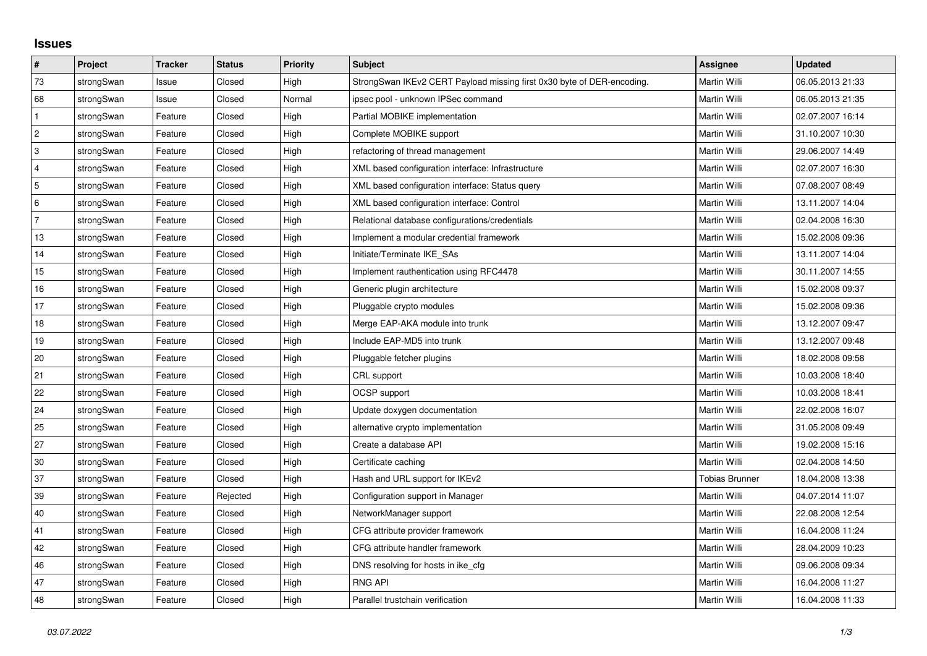## **Issues**

| #              | Project    | <b>Tracker</b> | <b>Status</b> | <b>Priority</b> | <b>Subject</b>                                                         | <b>Assignee</b>       | <b>Updated</b>   |
|----------------|------------|----------------|---------------|-----------------|------------------------------------------------------------------------|-----------------------|------------------|
| 73             | strongSwan | Issue          | Closed        | High            | StrongSwan IKEv2 CERT Payload missing first 0x30 byte of DER-encoding. | <b>Martin Willi</b>   | 06.05.2013 21:33 |
| 68             | strongSwan | Issue          | Closed        | Normal          | ipsec pool - unknown IPSec command                                     | Martin Willi          | 06.05.2013 21:35 |
| $\mathbf{1}$   | strongSwan | Feature        | Closed        | High            | Partial MOBIKE implementation                                          | Martin Willi          | 02.07.2007 16:14 |
| $\overline{2}$ | strongSwan | Feature        | Closed        | High            | Complete MOBIKE support                                                | Martin Willi          | 31.10.2007 10:30 |
| 3              | strongSwan | Feature        | Closed        | High            | refactoring of thread management                                       | Martin Willi          | 29.06.2007 14:49 |
| 4              | strongSwan | Feature        | Closed        | High            | XML based configuration interface: Infrastructure                      | Martin Willi          | 02.07.2007 16:30 |
| 5              | strongSwan | Feature        | Closed        | High            | XML based configuration interface: Status query                        | Martin Willi          | 07.08.2007 08:49 |
| 6              | strongSwan | Feature        | Closed        | High            | XML based configuration interface: Control                             | Martin Willi          | 13.11.2007 14:04 |
| $\overline{7}$ | strongSwan | Feature        | Closed        | High            | Relational database configurations/credentials                         | Martin Willi          | 02.04.2008 16:30 |
| 13             | strongSwan | Feature        | Closed        | High            | Implement a modular credential framework                               | Martin Willi          | 15.02.2008 09:36 |
| 14             | strongSwan | Feature        | Closed        | High            | Initiate/Terminate IKE_SAs                                             | Martin Willi          | 13.11.2007 14:04 |
| 15             | strongSwan | Feature        | Closed        | High            | Implement rauthentication using RFC4478                                | Martin Willi          | 30.11.2007 14:55 |
| 16             | strongSwan | Feature        | Closed        | High            | Generic plugin architecture                                            | Martin Willi          | 15.02.2008 09:37 |
| 17             | strongSwan | Feature        | Closed        | High            | Pluggable crypto modules                                               | Martin Willi          | 15.02.2008 09:36 |
| 18             | strongSwan | Feature        | Closed        | High            | Merge EAP-AKA module into trunk                                        | Martin Willi          | 13.12.2007 09:47 |
| 19             | strongSwan | Feature        | Closed        | High            | Include EAP-MD5 into trunk                                             | Martin Willi          | 13.12.2007 09:48 |
| 20             | strongSwan | Feature        | Closed        | High            | Pluggable fetcher plugins                                              | Martin Willi          | 18.02.2008 09:58 |
| 21             | strongSwan | Feature        | Closed        | High            | CRL support                                                            | Martin Willi          | 10.03.2008 18:40 |
| 22             | strongSwan | Feature        | Closed        | High            | OCSP support                                                           | Martin Willi          | 10.03.2008 18:41 |
| 24             | strongSwan | Feature        | Closed        | High            | Update doxygen documentation                                           | Martin Willi          | 22.02.2008 16:07 |
| 25             | strongSwan | Feature        | Closed        | High            | alternative crypto implementation                                      | Martin Willi          | 31.05.2008 09:49 |
| 27             | strongSwan | Feature        | Closed        | High            | Create a database API                                                  | Martin Willi          | 19.02.2008 15:16 |
| 30             | strongSwan | Feature        | Closed        | High            | Certificate caching                                                    | Martin Willi          | 02.04.2008 14:50 |
| 37             | strongSwan | Feature        | Closed        | High            | Hash and URL support for IKEv2                                         | <b>Tobias Brunner</b> | 18.04.2008 13:38 |
| 39             | strongSwan | Feature        | Rejected      | High            | Configuration support in Manager                                       | Martin Willi          | 04.07.2014 11:07 |
| 40             | strongSwan | Feature        | Closed        | High            | NetworkManager support                                                 | Martin Willi          | 22.08.2008 12:54 |
| 41             | strongSwan | Feature        | Closed        | High            | CFG attribute provider framework                                       | Martin Willi          | 16.04.2008 11:24 |
| 42             | strongSwan | Feature        | Closed        | High            | CFG attribute handler framework                                        | Martin Willi          | 28.04.2009 10:23 |
| 46             | strongSwan | Feature        | Closed        | High            | DNS resolving for hosts in ike cfg                                     | Martin Willi          | 09.06.2008 09:34 |
| 47             | strongSwan | Feature        | Closed        | High            | <b>RNG API</b>                                                         | Martin Willi          | 16.04.2008 11:27 |
| 48             | strongSwan | Feature        | Closed        | High            | Parallel trustchain verification                                       | <b>Martin Willi</b>   | 16.04.2008 11:33 |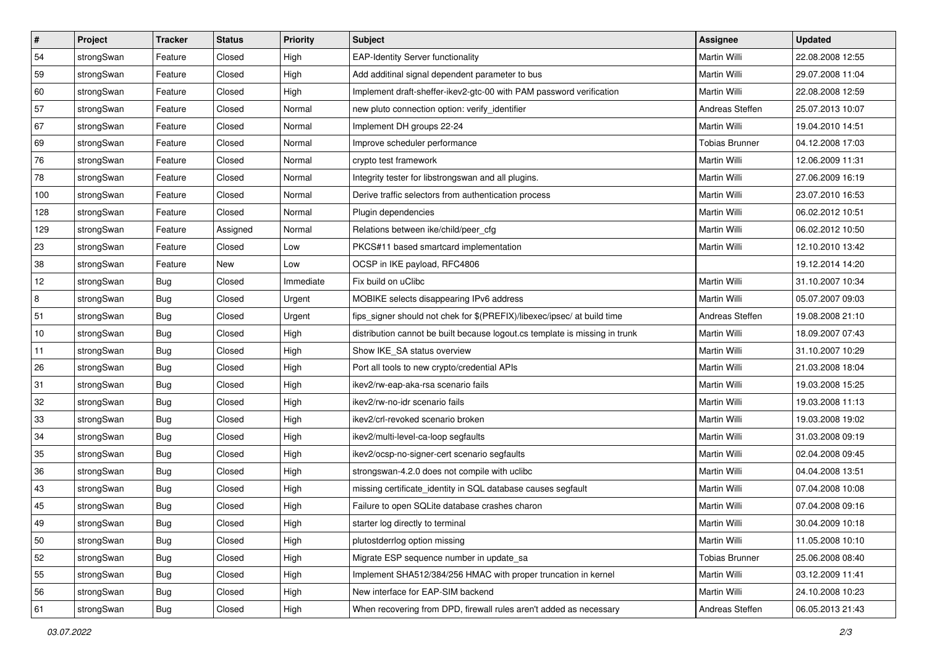| $\vert$ # | Project    | <b>Tracker</b> | <b>Status</b> | <b>Priority</b> | <b>Subject</b>                                                              | <b>Assignee</b>       | <b>Updated</b>   |
|-----------|------------|----------------|---------------|-----------------|-----------------------------------------------------------------------------|-----------------------|------------------|
| 54        | strongSwan | Feature        | Closed        | High            | <b>EAP-Identity Server functionality</b>                                    | Martin Willi          | 22.08.2008 12:55 |
| 59        | strongSwan | Feature        | Closed        | High            | Add additinal signal dependent parameter to bus                             | Martin Willi          | 29.07.2008 11:04 |
| 60        | strongSwan | Feature        | Closed        | High            | Implement draft-sheffer-ikev2-gtc-00 with PAM password verification         | Martin Willi          | 22.08.2008 12:59 |
| 57        | strongSwan | Feature        | Closed        | Normal          | new pluto connection option: verify_identifier                              | Andreas Steffen       | 25.07.2013 10:07 |
| 67        | strongSwan | Feature        | Closed        | Normal          | Implement DH groups 22-24                                                   | Martin Willi          | 19.04.2010 14:51 |
| 69        | strongSwan | Feature        | Closed        | Normal          | Improve scheduler performance                                               | <b>Tobias Brunner</b> | 04.12.2008 17:03 |
| 76        | strongSwan | Feature        | Closed        | Normal          | crypto test framework                                                       | <b>Martin Willi</b>   | 12.06.2009 11:31 |
| 78        | strongSwan | Feature        | Closed        | Normal          | Integrity tester for libstrongswan and all plugins.                         | Martin Willi          | 27.06.2009 16:19 |
| 100       | strongSwan | Feature        | Closed        | Normal          | Derive traffic selectors from authentication process                        | Martin Willi          | 23.07.2010 16:53 |
| 128       | strongSwan | Feature        | Closed        | Normal          | Plugin dependencies                                                         | Martin Willi          | 06.02.2012 10:51 |
| 129       | strongSwan | Feature        | Assigned      | Normal          | Relations between ike/child/peer cfg                                        | Martin Willi          | 06.02.2012 10:50 |
| 23        | strongSwan | Feature        | Closed        | Low             | PKCS#11 based smartcard implementation                                      | Martin Willi          | 12.10.2010 13:42 |
| 38        | strongSwan | Feature        | <b>New</b>    | Low             | OCSP in IKE payload, RFC4806                                                |                       | 19.12.2014 14:20 |
| 12        | strongSwan | <b>Bug</b>     | Closed        | Immediate       | Fix build on uClibc                                                         | Martin Willi          | 31.10.2007 10:34 |
| 8         | strongSwan | Bug            | Closed        | Urgent          | MOBIKE selects disappearing IPv6 address                                    | Martin Willi          | 05.07.2007 09:03 |
| 51        | strongSwan | <b>Bug</b>     | Closed        | Urgent          | fips signer should not chek for \$(PREFIX)/libexec/ipsec/ at build time     | Andreas Steffen       | 19.08.2008 21:10 |
| 10        | strongSwan | <b>Bug</b>     | Closed        | High            | distribution cannot be built because logout.cs template is missing in trunk | <b>Martin Willi</b>   | 18.09.2007 07:43 |
| 11        | strongSwan | Bug            | Closed        | High            | Show IKE_SA status overview                                                 | Martin Willi          | 31.10.2007 10:29 |
| 26        | strongSwan | <b>Bug</b>     | Closed        | High            | Port all tools to new crypto/credential APIs                                | Martin Willi          | 21.03.2008 18:04 |
| 31        | strongSwan | Bug            | Closed        | High            | ikev2/rw-eap-aka-rsa scenario fails                                         | Martin Willi          | 19.03.2008 15:25 |
| 32        | strongSwan | <b>Bug</b>     | Closed        | High            | ikev2/rw-no-idr scenario fails                                              | Martin Willi          | 19.03.2008 11:13 |
| 33        | strongSwan | <b>Bug</b>     | Closed        | High            | ikev2/crl-revoked scenario broken                                           | Martin Willi          | 19.03.2008 19:02 |
| 34        | strongSwan | Bug            | Closed        | High            | ikev2/multi-level-ca-loop segfaults                                         | Martin Willi          | 31.03.2008 09:19 |
| 35        | strongSwan | <b>Bug</b>     | Closed        | High            | ikev2/ocsp-no-signer-cert scenario segfaults                                | Martin Willi          | 02.04.2008 09:45 |
| 36        | strongSwan | <b>Bug</b>     | Closed        | High            | strongswan-4.2.0 does not compile with uclibc                               | Martin Willi          | 04.04.2008 13:51 |
| 43        | strongSwan | <b>Bug</b>     | Closed        | High            | missing certificate_identity in SQL database causes segfault                | Martin Willi          | 07.04.2008 10:08 |
| 45        | strongSwan | Bug            | Closed        | High            | Failure to open SQLite database crashes charon                              | Martin Willi          | 07.04.2008 09:16 |
| 49        | strongSwan | Bug            | Closed        | High            | starter log directly to terminal                                            | Martin Willi          | 30.04.2009 10:18 |
| 50        | strongSwan | Bug            | Closed        | High            | plutostderrlog option missing                                               | Martin Willi          | 11.05.2008 10:10 |
| 52        | strongSwan | Bug            | Closed        | High            | Migrate ESP sequence number in update_sa                                    | <b>Tobias Brunner</b> | 25.06.2008 08:40 |
| 55        | strongSwan | Bug            | Closed        | High            | Implement SHA512/384/256 HMAC with proper truncation in kernel              | Martin Willi          | 03.12.2009 11:41 |
| 56        | strongSwan | Bug            | Closed        | High            | New interface for EAP-SIM backend                                           | Martin Willi          | 24.10.2008 10:23 |
| 61        | strongSwan | <b>Bug</b>     | Closed        | High            | When recovering from DPD, firewall rules aren't added as necessary          | Andreas Steffen       | 06.05.2013 21:43 |